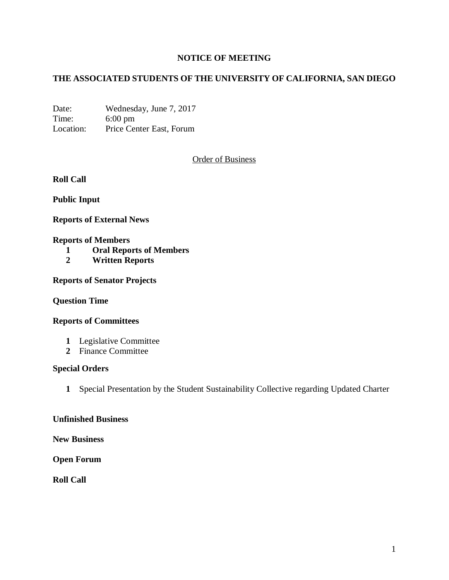# **NOTICE OF MEETING**

# **THE ASSOCIATED STUDENTS OF THE UNIVERSITY OF CALIFORNIA, SAN DIEGO**

Date: Wednesday, June 7, 2017 Time: 6:00 pm Location: Price Center East, Forum

Order of Business

**Roll Call**

**Public Input**

**Reports of External News**

#### **Reports of Members**

- **1 Oral Reports of Members**
- **2 Written Reports**

**Reports of Senator Projects**

### **Question Time**

### **Reports of Committees**

- **1** Legislative Committee
- **2** Finance Committee

### **Special Orders**

**1** Special Presentation by the Student Sustainability Collective regarding Updated Charter

### **Unfinished Business**

**New Business**

**Open Forum**

**Roll Call**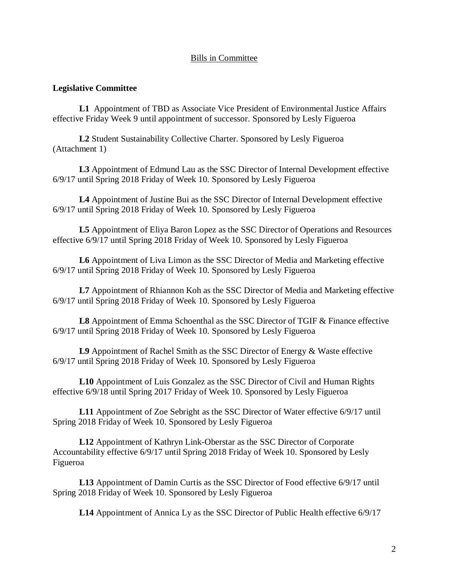## Bills in Committee

### **Legislative Committee**

**L1** Appointment of TBD as Associate Vice President of Environmental Justice Affairs effective Friday Week 9 until appointment of successor. Sponsored by Lesly Figueroa

**L2** Student Sustainability Collective Charter. Sponsored by Lesly Figueroa (Attachment 1)

**L3** Appointment of Edmund Lau as the SSC Director of Internal Development effective 6/9/17 until Spring 2018 Friday of Week 10. Sponsored by Lesly Figueroa

**L4** Appointment of Justine Bui as the SSC Director of Internal Development effective 6/9/17 until Spring 2018 Friday of Week 10. Sponsored by Lesly Figueroa

**L5** Appointment of Eliya Baron Lopez as the SSC Director of Operations and Resources effective 6/9/17 until Spring 2018 Friday of Week 10. Sponsored by Lesly Figueroa

**L6** Appointment of Liva Limon as the SSC Director of Media and Marketing effective 6/9/17 until Spring 2018 Friday of Week 10. Sponsored by Lesly Figueroa

**L7** Appointment of Rhiannon Koh as the SSC Director of Media and Marketing effective 6/9/17 until Spring 2018 Friday of Week 10. Sponsored by Lesly Figueroa

**L8** Appointment of Emma Schoenthal as the SSC Director of TGIF & Finance effective 6/9/17 until Spring 2018 Friday of Week 10. Sponsored by Lesly Figueroa

**L9** Appointment of Rachel Smith as the SSC Director of Energy & Waste effective 6/9/17 until Spring 2018 Friday of Week 10. Sponsored by Lesly Figueroa

**L10** Appointment of Luis Gonzalez as the SSC Director of Civil and Human Rights effective 6/9/18 until Spring 2017 Friday of Week 10. Sponsored by Lesly Figueroa

**L11** Appointment of Zoe Sebright as the SSC Director of Water effective 6/9/17 until Spring 2018 Friday of Week 10. Sponsored by Lesly Figueroa

**L12** Appointment of Kathryn Link-Oberstar as the SSC Director of Corporate Accountability effective 6/9/17 until Spring 2018 Friday of Week 10. Sponsored by Lesly Figueroa

**L13** Appointment of Damin Curtis as the SSC Director of Food effective 6/9/17 until Spring 2018 Friday of Week 10. Sponsored by Lesly Figueroa

**L14** Appointment of Annica Ly as the SSC Director of Public Health effective 6/9/17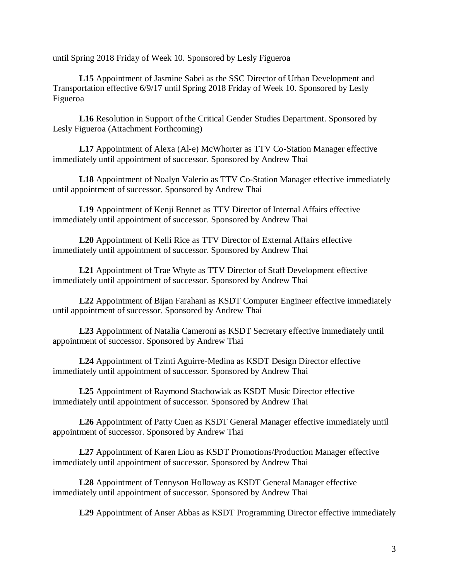until Spring 2018 Friday of Week 10. Sponsored by Lesly Figueroa

**L15** Appointment of Jasmine Sabei as the SSC Director of Urban Development and Transportation effective 6/9/17 until Spring 2018 Friday of Week 10. Sponsored by Lesly Figueroa

**L16** Resolution in Support of the Critical Gender Studies Department. Sponsored by Lesly Figueroa (Attachment Forthcoming)

**L17** Appointment of Alexa (Al-e) McWhorter as TTV Co-Station Manager effective immediately until appointment of successor. Sponsored by Andrew Thai

**L18** Appointment of Noalyn Valerio as TTV Co-Station Manager effective immediately until appointment of successor. Sponsored by Andrew Thai

**L19** Appointment of Kenji Bennet as TTV Director of Internal Affairs effective immediately until appointment of successor. Sponsored by Andrew Thai

**L20** Appointment of Kelli Rice as TTV Director of External Affairs effective immediately until appointment of successor. Sponsored by Andrew Thai

**L21** Appointment of Trae Whyte as TTV Director of Staff Development effective immediately until appointment of successor. Sponsored by Andrew Thai

**L22** Appointment of Bijan Farahani as KSDT Computer Engineer effective immediately until appointment of successor. Sponsored by Andrew Thai

**L23** Appointment of Natalia Cameroni as KSDT Secretary effective immediately until appointment of successor. Sponsored by Andrew Thai

**L24** Appointment of Tzinti Aguirre-Medina as KSDT Design Director effective immediately until appointment of successor. Sponsored by Andrew Thai

**L25** Appointment of Raymond Stachowiak as KSDT Music Director effective immediately until appointment of successor. Sponsored by Andrew Thai

**L26** Appointment of Patty Cuen as KSDT General Manager effective immediately until appointment of successor. Sponsored by Andrew Thai

**L27** Appointment of Karen Liou as KSDT Promotions/Production Manager effective immediately until appointment of successor. Sponsored by Andrew Thai

**L28** Appointment of Tennyson Holloway as KSDT General Manager effective immediately until appointment of successor. Sponsored by Andrew Thai

**L29** Appointment of Anser Abbas as KSDT Programming Director effective immediately